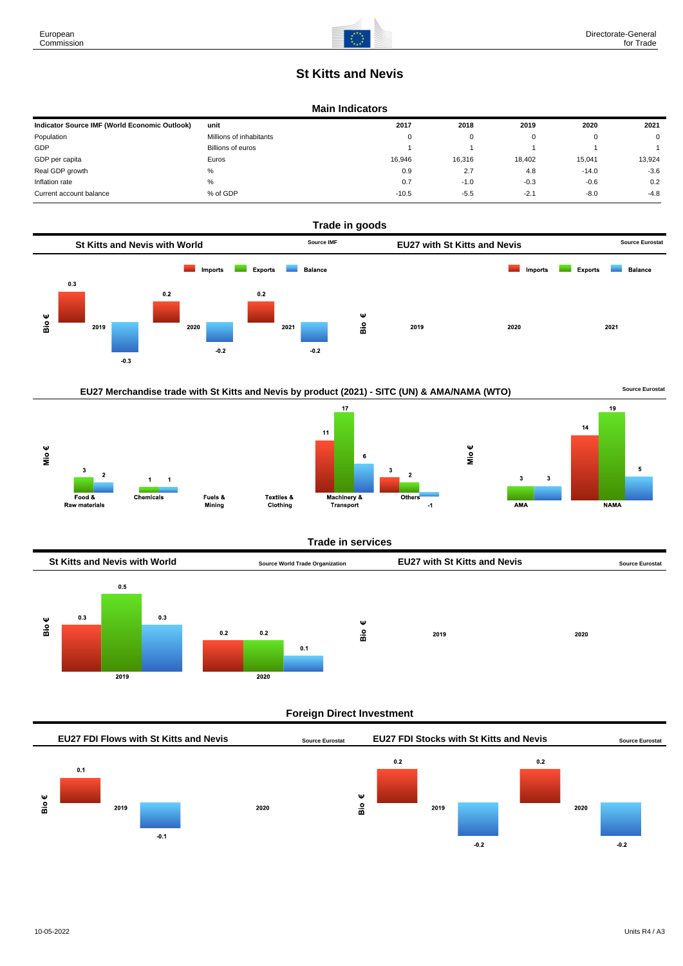# **St Kitts and Nevis**

#### **Main Indicators**

| Indicator Source IMF (World Economic Outlook) | unit                    | 2017     | 2018   | 2019   | 2020    | 2021        |
|-----------------------------------------------|-------------------------|----------|--------|--------|---------|-------------|
| Population                                    | Millions of inhabitants | $\Omega$ | 0      |        |         | $\mathbf 0$ |
| GDP                                           | Billions of euros       |          |        |        |         |             |
| GDP per capita                                | Euros                   | 16.946   | 16,316 | 18,402 | 15.041  | 13,924      |
| Real GDP growth                               | %                       | 0.9      | 2.7    | 4.8    | $-14.0$ | $-3.6$      |
| Inflation rate                                | %                       | 0.7      | $-1.0$ | $-0.3$ | $-0.6$  | 0.2         |
| Current account balance                       | % of GDP                | $-10.5$  | $-5.5$ | $-2.7$ | $-8.0$  | $-4.8$      |







Machinery &<br>Transport

Others

 $\overline{A}$ 

**AMA** 

**NAMA** 

Textiles &

Clothing



#### **Foreign Direct Investment**



European Commission

Food &

Raw materials

Chemicals

Fuels &

Mining